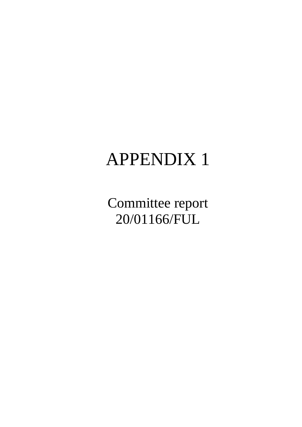# APPENDIX 1

Committee report 20/01166/FUL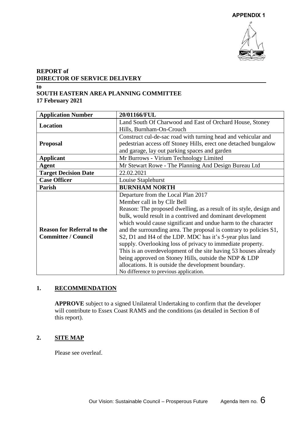

# **REPORT of DIRECTOR OF SERVICE DELIVERY**

#### **to SOUTH EASTERN AREA PLANNING COMMITTEE 17 February 2021**

| <b>Application Number</b>         | 20/01166/FUL                                                        |
|-----------------------------------|---------------------------------------------------------------------|
|                                   | Land South Of Charwood and East of Orchard House, Stoney            |
| <b>Location</b>                   | Hills, Burnham-On-Crouch                                            |
|                                   | Construct cul-de-sac road with turning head and vehicular and       |
| <b>Proposal</b>                   | pedestrian access off Stoney Hills, erect one detached bungalow     |
|                                   | and garage, lay out parking spaces and garden                       |
| <b>Applicant</b>                  | Mr Burrows - Virium Technology Limited                              |
| Agent                             | Mr Stewart Rowe - The Planning And Design Bureau Ltd                |
| <b>Target Decision Date</b>       | 22.02.2021                                                          |
| <b>Case Officer</b>               | Louise Staplehurst                                                  |
| Parish                            | <b>BURNHAM NORTH</b>                                                |
|                                   | Departure from the Local Plan 2017                                  |
|                                   | Member call in by Cllr Bell                                         |
|                                   | Reason: The proposed dwelling, as a result of its style, design and |
|                                   | bulk, would result in a contrived and dominant development          |
|                                   | which would cause significant and undue harm to the character       |
| <b>Reason for Referral to the</b> | and the surrounding area. The proposal is contrary to policies S1,  |
| <b>Committee / Council</b>        | S2, D1 and H4 of the LDP. MDC has it's 5-year plus land             |
|                                   | supply. Overlooking loss of privacy to immediate property.          |
|                                   | This is an overdevelopment of the site having 53 houses already     |
|                                   | being approved on Stoney Hills, outside the NDP & LDP               |
|                                   | allocations. It is outside the development boundary.                |
|                                   | No difference to previous application.                              |

# **1. RECOMMENDATION**

**APPROVE** subject to a signed Unilateral Undertaking to confirm that the developer will contribute to Essex Coast RAMS and the conditions (as detailed in Section 8 of this report).

## **2. SITE MAP**

Please see overleaf.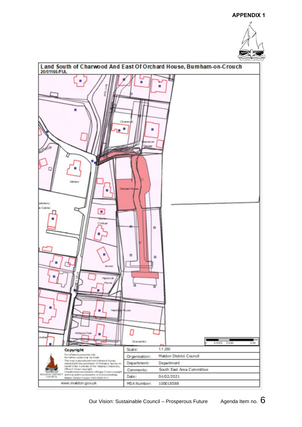#### **APPENDIX 1**





Our Vision: Sustainable Council – Prosperous Future  $\qquad$  Agenda Item no.  $6$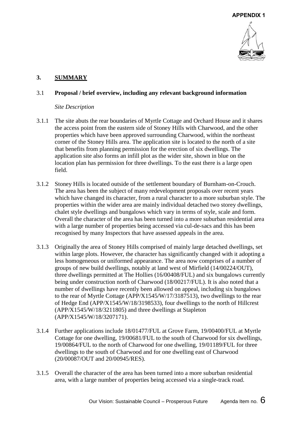

#### **3. SUMMARY**

#### 3.1 **Proposal / brief overview, including any relevant background information**

#### *Site Description*

- 3.1.1 The site abuts the rear boundaries of Myrtle Cottage and Orchard House and it shares the access point from the eastern side of Stoney Hills with Charwood, and the other properties which have been approved surrounding Charwood, within the northeast corner of the Stoney Hills area. The application site is located to the north of a site that benefits from planning permission for the erection of six dwellings. The application site also forms an infill plot as the wider site, shown in blue on the location plan has permission for three dwellings. To the east there is a large open field.
- 3.1.2 Stoney Hills is located outside of the settlement boundary of Burnham-on-Crouch. The area has been the subject of many redevelopment proposals over recent years which have changed its character, from a rural character to a more suburban style. The properties within the wider area are mainly individual detached two storey dwellings, chalet style dwellings and bungalows which vary in terms of style, scale and form. Overall the character of the area has been turned into a more suburban residential area with a large number of properties being accessed via cul-de-sacs and this has been recognised by many Inspectors that have assessed appeals in the area.
- 3.1.3 Originally the area of Stoney Hills comprised of mainly large detached dwellings, set within large plots. However, the character has significantly changed with it adopting a less homogeneous or uniformed appearance. The area now comprises of a number of groups of new build dwellings, notably at land west of Mirfield (14/00224/OUT), three dwellings permitted at The Hollies (16/00408/FUL) and six bungalows currently being under construction north of Charwood (18/00217/FUL). It is also noted that a number of dwellings have recently been allowed on appeal, including six bungalows to the rear of Myrtle Cottage (APP/X1545/W/17/3187513), two dwellings to the rear of Hedge End (APP/X1545/W/18/3198533), four dwellings to the north of Hillcrest (APP/X1545/W/18/3211805) and three dwellings at Stapleton (APP/X1545/W/18/3207171).
- 3.1.4 Further applications include 18/01477/FUL at Grove Farm, 19/00400/FUL at Myrtle Cottage for one dwelling, 19/00681/FUL to the south of Charwood for six dwellings, 19/00864/FUL to the north of Charwood for one dwelling, 19/01189/FUL for three dwellings to the south of Charwood and for one dwelling east of Charwood (20/00087/OUT and 20/00945/RES).
- 3.1.5 Overall the character of the area has been turned into a more suburban residential area, with a large number of properties being accessed via a single-track road.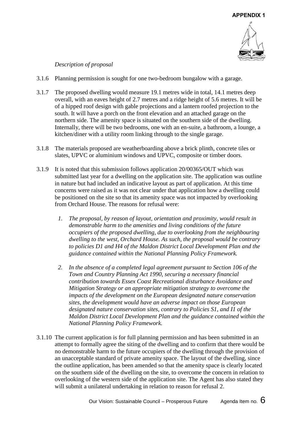

## *Description of proposal*

- 3.1.6 Planning permission is sought for one two-bedroom bungalow with a garage.
- 3.1.7 The proposed dwelling would measure 19.1 metres wide in total, 14.1 metres deep overall, with an eaves height of 2.7 metres and a ridge height of 5.6 metres. It will be of a hipped roof design with gable projections and a lantern roofed projection to the south. It will have a porch on the front elevation and an attached garage on the northern side. The amenity space is situated on the southern side of the dwelling. Internally, there will be two bedrooms, one with an en-suite, a bathroom, a lounge, a kitchen/diner with a utility room linking through to the single garage.
- 3.1.8 The materials proposed are weatherboarding above a brick plinth, concrete tiles or slates, UPVC or aluminium windows and UPVC, composite or timber doors.
- 3.1.9 It is noted that this submission follows application 20/00365/OUT which was submitted last year for a dwelling on the application site. The application was outline in nature but had included an indicative layout as part of application. At this time concerns were raised as it was not clear under that application how a dwelling could be positioned on the site so that its amenity space was not impacted by overlooking from Orchard House. The reasons for refusal were:
	- *1. The proposal, by reason of layout, orientation and proximity, would result in demonstrable harm to the amenities and living conditions of the future occupiers of the proposed dwelling, due to overlooking from the neighbouring dwelling to the west, Orchard House. As such, the proposal would be contrary to policies D1 and H4 of the Maldon District Local Development Plan and the guidance contained within the National Planning Policy Framework.*
	- *2. In the absence of a completed legal agreement pursuant to Section 106 of the Town and Country Planning Act 1990, securing a necessary financial contribution towards Essex Coast Recreational disturbance Avoidance and Mitigation Strategy or an appropriate mitigation strategy to overcome the impacts of the development on the European designated nature conservation sites, the development would have an adverse impact on those European designated nature conservation sites, contrary to Policies S1, and I1 of the Maldon District Local Development Plan and the guidance contained within the National Planning Policy Framework.*
- 3.1.10 The current application is for full planning permission and has been submitted in an attempt to formally agree the siting of the dwelling and to confirm that there would be no demonstrable harm to the future occupiers of the dwelling through the provision of an unacceptable standard of private amenity space. The layout of the dwelling, since the outline application, has been amended so that the amenity space is clearly located on the southern side of the dwelling on the site, to overcome the concern in relation to overlooking of the western side of the application site. The Agent has also stated they will submit a unilateral undertaking in relation to reason for refusal 2.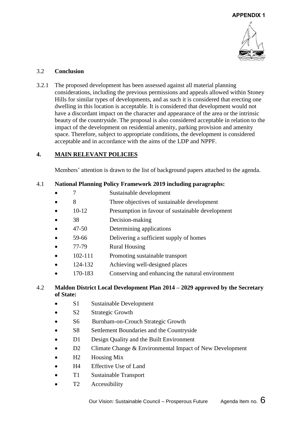

# 3.2 **Conclusion**

3.2.1 The proposed development has been assessed against all material planning considerations, including the previous permissions and appeals allowed within Stoney Hills for similar types of developments, and as such it is considered that erecting one dwelling in this location is acceptable. It is considered that development would not have a discordant impact on the character and appearance of the area or the intrinsic beauty of the countryside. The proposal is also considered acceptable in relation to the impact of the development on residential amenity, parking provision and amenity space. Therefore, subject to appropriate conditions, the development is considered acceptable and in accordance with the aims of the LDP and NPPF.

# **4. MAIN RELEVANT POLICIES**

Members' attention is drawn to the list of background papers attached to the agenda.

# 4.1 **National Planning Policy Framework 2019 including paragraphs:**

- 7 Sustainable development
- 8 Three objectives of sustainable development
- 10-12 Presumption in favour of sustainable development
- 38 Decision-making
- 47-50 Determining applications
- 59-66 Delivering a sufficient supply of homes
- 77-79 Rural Housing
- 102-111 Promoting sustainable transport
- 124-132 Achieving well-designed places
- 170-183 Conserving and enhancing the natural environment

## 4.2 **Maldon District Local Development Plan 2014 – 2029 approved by the Secretary of State:**

- S1 Sustainable Development
- S2 Strategic Growth
- S6 Burnham-on-Crouch Strategic Growth
- S8 Settlement Boundaries and the Countryside
- D1 Design Quality and the Built Environment
- D2 Climate Change & Environmental Impact of New Development
- H<sub>2</sub> Housing Mix
- H4 Effective Use of Land
- T1 Sustainable Transport
- T<sub>2</sub> Accessibility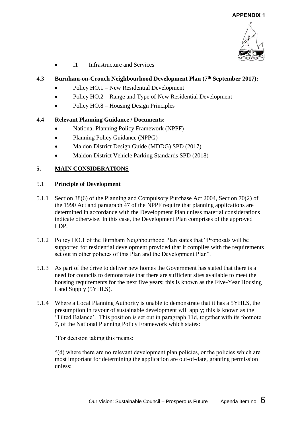

• I1 Infrastructure and Services

## 4.3 **Burnham-on-Crouch Neighbourhood Development Plan (7th September 2017):**

- Policy HO.1 New Residential Development
- Policy HO.2 Range and Type of New Residential Development
- Policy HO.8 Housing Design Principles

## 4.4 **Relevant Planning Guidance / Documents:**

- National Planning Policy Framework (NPPF)
- Planning Policy Guidance (NPPG)
- Maldon District Design Guide (MDDG) SPD (2017)
- Maldon District Vehicle Parking Standards SPD (2018)

# **5. MAIN CONSIDERATIONS**

## 5.1 **Principle of Development**

- 5.1.1 Section 38(6) of the Planning and Compulsory Purchase Act 2004, Section 70(2) of the 1990 Act and paragraph 47 of the NPPF require that planning applications are determined in accordance with the Development Plan unless material considerations indicate otherwise. In this case, the Development Plan comprises of the approved LDP.
- 5.1.2 Policy HO.1 of the Burnham Neighbourhood Plan states that "Proposals will be supported for residential development provided that it complies with the requirements set out in other policies of this Plan and the Development Plan".
- 5.1.3 As part of the drive to deliver new homes the Government has stated that there is a need for councils to demonstrate that there are sufficient sites available to meet the housing requirements for the next five years; this is known as the Five-Year Housing Land Supply (5YHLS).
- 5.1.4 Where a Local Planning Authority is unable to demonstrate that it has a 5YHLS, the presumption in favour of sustainable development will apply; this is known as the 'Tilted Balance'. This position is set out in paragraph 11d, together with its footnote 7, of the National Planning Policy Framework which states:

"For decision taking this means:

"(d) where there are no relevant development plan policies, or the policies which are most important for determining the application are out-of-date, granting permission unless: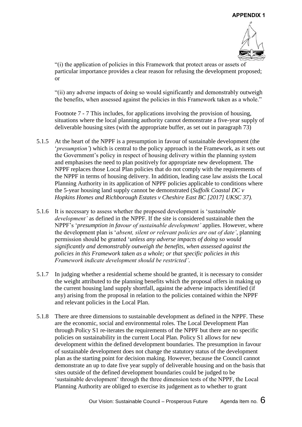

"(i) the application of policies in this Framework that protect areas or assets of particular importance provides a clear reason for refusing the development proposed; or

"(ii) any adverse impacts of doing so would significantly and demonstrably outweigh the benefits, when assessed against the policies in this Framework taken as a whole."

Footnote 7 - 7 This includes, for applications involving the provision of housing, situations where the local planning authority cannot demonstrate a five-year supply of deliverable housing sites (with the appropriate buffer, as set out in paragraph 73)

- 5.1.5 At the heart of the NPPF is a presumption in favour of sustainable development (the '*presumption'*) which is central to the policy approach in the Framework, as it sets out the Government's policy in respect of housing delivery within the planning system and emphasises the need to plan positively for appropriate new development. The NPPF replaces those Local Plan policies that do not comply with the requirements of the NPPF in terms of housing delivery. In addition, leading case law assists the Local Planning Authority in its application of NPPF policies applicable to conditions where the 5-year housing land supply cannot be demonstrated (*Suffolk Coastal DC v Hopkins Homes and Richborough Estates v Cheshire East BC [2017] UKSC 37).*
- 5.1.6 It is necessary to assess whether the proposed development is '*sustainable development'* as defined in the NPPF. If the site is considered sustainable then the NPPF's '*presumption in favour of sustainable development'* applies. However, where the development plan is '*absent, silent or relevant policies are out of date'*, planning permission should be granted '*unless any adverse impacts of doing so would significantly and demonstrably outweigh the benefits, when assessed against the policies in this Framework taken as a whole; or that specific policies in this Framework indicate development should be restricted'*.
- 5.1.7 In judging whether a residential scheme should be granted, it is necessary to consider the weight attributed to the planning benefits which the proposal offers in making up the current housing land supply shortfall, against the adverse impacts identified (if any) arising from the proposal in relation to the policies contained within the NPPF and relevant policies in the Local Plan.
- 5.1.8 There are three dimensions to sustainable development as defined in the NPPF. These are the economic, social and environmental roles. The Local Development Plan through Policy S1 re-iterates the requirements of the NPPF but there are no specific policies on sustainability in the current Local Plan. Policy S1 allows for new development within the defined development boundaries. The presumption in favour of sustainable development does not change the statutory status of the development plan as the starting point for decision making. However, because the Council cannot demonstrate an up to date five year supply of deliverable housing and on the basis that sites outside of the defined development boundaries could be judged to be 'sustainable development' through the three dimension tests of the NPPF, the Local Planning Authority are obliged to exercise its judgement as to whether to grant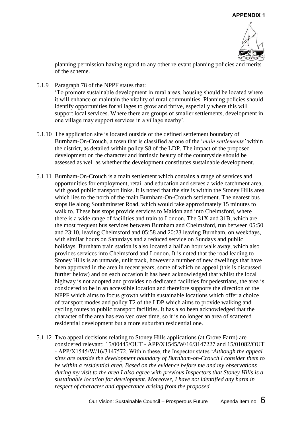

planning permission having regard to any other relevant planning policies and merits of the scheme.

- 5.1.9 Paragraph 78 of the NPPF states that: 'To promote sustainable development in rural areas, housing should be located where it will enhance or maintain the vitality of rural communities. Planning policies should identify opportunities for villages to grow and thrive, especially where this will support local services. Where there are groups of smaller settlements, development in one village may support services in a village nearby'.
- 5.1.10 The application site is located outside of the defined settlement boundary of Burnham-On-Crouch, a town that is classified as one of the '*main settlements'* within the district, as detailed within policy S8 of the LDP. The impact of the proposed development on the character and intrinsic beauty of the countryside should be assessed as well as whether the development constitutes sustainable development.
- 5.1.11 Burnham-On-Crouch is a main settlement which contains a range of services and opportunities for employment, retail and education and serves a wide catchment area, with good public transport links. It is noted that the site is within the Stoney Hills area which lies to the north of the main Burnham-On-Crouch settlement. The nearest bus stops lie along Southminster Road, which would take approximately 15 minutes to walk to. These bus stops provide services to Maldon and into Chelmsford, where there is a wide range of facilities and train to London. The 31X and 31B, which are the most frequent bus services between Burnham and Chelmsford, run between 05:50 and 23:10, leaving Chelmsford and 05:58 and 20:23 leaving Burnham, on weekdays, with similar hours on Saturdays and a reduced service on Sundays and public holidays. Burnham train station is also located a half an hour walk away, which also provides services into Chelmsford and London. It is noted that the road leading to Stoney Hills is an unmade, unlit track, however a number of new dwellings that have been approved in the area in recent years, some of which on appeal (this is discussed further below) and on each occasion it has been acknowledged that whilst the local highway is not adopted and provides no dedicated facilities for pedestrians, the area is considered to be in an accessible location and therefore supports the direction of the NPPF which aims to focus growth within sustainable locations which offer a choice of transport modes and policy T2 of the LDP which aims to provide walking and cycling routes to public transport facilities. It has also been acknowledged that the character of the area has evolved over time, so it is no longer an area of scattered residential development but a more suburban residential one.
- 5.1.12 Two appeal decisions relating to Stoney Hills applications (at Grove Farm) are considered relevant; 15/00445/OUT - APP/X1545/W/16/3147227 and 15/01082/OUT - APP/X1545/W/16/3147572. Within these, the Inspector states '*Although the appeal sites are outside the development boundary of Burnham-on-Crouch I consider them to be within a residential area. Based on the evidence before me and my observations during my visit to the area I also agree with previous Inspectors that Stoney Hills is a sustainable location for development. Moreover, I have not identified any harm in respect of character and appearance arising from the proposed*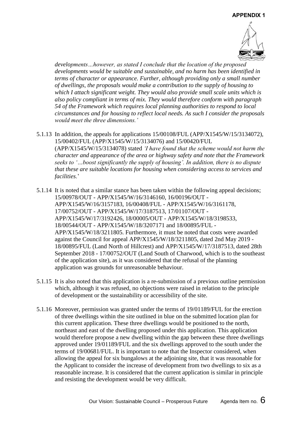

*developments…however, as stated I conclude that the location of the proposed developments would be suitable and sustainable, and no harm has been identified in terms of character or appearance. Further, although providing only a small number of dwellings, the proposals would make a contribution to the supply of housing to which I attach significant weight. They would also provide small scale units which is also policy compliant in terms of mix. They would therefore conform with paragraph 54 of the Framework which requires local planning authorities to respond to local circumstances and for housing to reflect local needs. As such I consider the proposals would meet the three dimensions.'* 

- 5.1.13 In addition, the appeals for applications 15/00108/FUL (APP/X1545/W/15/3134072), 15/00402/FUL (APP/X1545/W/15/3134076) and 15/00420/FUL (APP/X1545/W/15/3134078) stated *'I have found that the scheme would not harm the character and appearance of the area or highway safety and note that the Framework seeks to '…boost significantly the supply of housing'. In addition, there is no dispute that these are suitable locations for housing when considering access to services and facilities*.'
- 5.1.14 It is noted that a similar stance has been taken within the following appeal decisions; 15/00978/OUT - APP/X1545/W/16/3146160, 16/00196/OUT - APP/X1545/W/16/3157183, 16/00408/FUL - APP/X1545/W/16/3161178, 17/00752/OUT - APP/X1545/W/17/3187513, 17/01107/OUT - APP/X1545/W/17/3192426, 18/00005/OUT - APP/X1545/W/18/3198533, 18/00544/OUT - APP/X1545/W/18/3207171 and 18/00895/FUL - APP/X1545/W/18/3211805. Furthermore, it must be noted that costs were awarded against the Council for appeal APP/X1545/W/18/3211805, dated 2nd May 2019 - 18/00895/FUL (Land North of Hillcrest) and APP/X1545/W/17/3187513, dated 28th September 2018 - 17/00752/OUT (Land South of Charwood, which is to the southeast of the application site), as it was considered that the refusal of the planning application was grounds for unreasonable behaviour.
- 5.1.15 It is also noted that this application is a re-submission of a previous outline permission which, although it was refused, no objections were raised in relation to the principle of development or the sustainability or accessibility of the site.
- 5.1.16 Moreover, permission was granted under the terms of 19/01189/FUL for the erection of three dwellings within the site outlined in blue on the submitted location plan for this current application. These three dwellings would be positioned to the north, northeast and east of the dwelling proposed under this application. This application would therefore propose a new dwelling within the gap between these three dwellings approved under 19/01189/FUL and the six dwellings approved to the south under the terms of 19/00681/FUL. It is important to note that the Inspector considered, when allowing the appeal for six bungalows at the adjoining site, that it was reasonable for the Applicant to consider the increase of development from two dwellings to six as a reasonable increase. It is considered that the current application is similar in principle and resisting the development would be very difficult.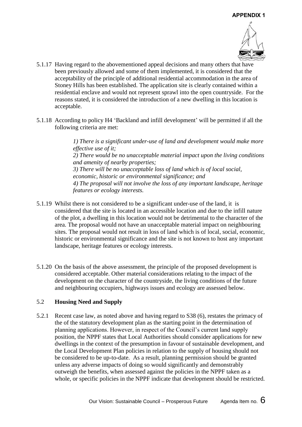

- 5.1.17 Having regard to the abovementioned appeal decisions and many others that have been previously allowed and some of them implemented, it is considered that the acceptability of the principle of additional residential accommodation in the area of Stoney Hills has been established. The application site is clearly contained within a residential enclave and would not represent sprawl into the open countryside. For the reasons stated, it is considered the introduction of a new dwelling in this location is acceptable.
- 5.1.18 According to policy H4 'Backland and infill development' will be permitted if all the following criteria are met:

*1) There is a significant under-use of land and development would make more effective use of it; 2) There would be no unacceptable material impact upon the living conditions and amenity of nearby properties; 3) There will be no unacceptable loss of land which is of local social, economic, historic or environmental significance; and 4) The proposal will not involve the loss of any important landscape, heritage features or ecology interests.*

- 5.1.19 Whilst there is not considered to be a significant under-use of the land, it is considered that the site is located in an accessible location and due to the infill nature of the plot, a dwelling in this location would not be detrimental to the character of the area. The proposal would not have an unacceptable material impact on neighbouring sites. The proposal would not result in loss of land which is of local, social, economic, historic or environmental significance and the site is not known to host any important landscape, heritage features or ecology interests.
- 5.1.20 On the basis of the above assessment, the principle of the proposed development is considered acceptable. Other material considerations relating to the impact of the development on the character of the countryside, the living conditions of the future and neighbouring occupiers, highways issues and ecology are assessed below.

## 5.2 **Housing Need and Supply**

5.2.1 Recent case law, as noted above and having regard to S38 (6), restates the primacy of the of the statutory development plan as the starting point in the determination of planning applications. However, in respect of the Council's current land supply position, the NPPF states that Local Authorities should consider applications for new dwellings in the context of the presumption in favour of sustainable development, and the Local Development Plan policies in relation to the supply of housing should not be considered to be up-to-date. As a result, planning permission should be granted unless any adverse impacts of doing so would significantly and demonstrably outweigh the benefits, when assessed against the policies in the NPPF taken as a whole, or specific policies in the NPPF indicate that development should be restricted.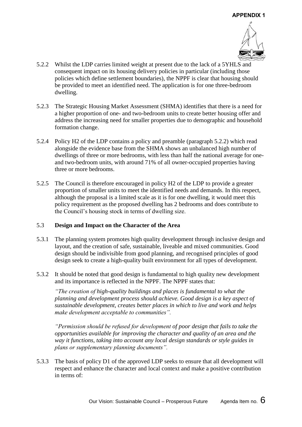

- 5.2.2 Whilst the LDP carries limited weight at present due to the lack of a 5YHLS and consequent impact on its housing delivery policies in particular (including those policies which define settlement boundaries), the NPPF is clear that housing should be provided to meet an identified need. The application is for one three-bedroom dwelling.
- 5.2.3 The Strategic Housing Market Assessment (SHMA) identifies that there is a need for a higher proportion of one- and two-bedroom units to create better housing offer and address the increasing need for smaller properties due to demographic and household formation change.
- 5.2.4 Policy H2 of the LDP contains a policy and preamble (paragraph 5.2.2) which read alongside the evidence base from the SHMA shows an unbalanced high number of dwellings of three or more bedrooms, with less than half the national average for oneand two-bedroom units, with around 71% of all owner-occupied properties having three or more bedrooms.
- 5.2.5 The Council is therefore encouraged in policy H2 of the LDP to provide a greater proportion of smaller units to meet the identified needs and demands. In this respect, although the proposal is a limited scale as it is for one dwelling, it would meet this policy requirement as the proposed dwelling has 2 bedrooms and does contribute to the Council's housing stock in terms of dwelling size.

## 5.3 **Design and Impact on the Character of the Area**

- 5.3.1 The planning system promotes high quality development through inclusive design and layout, and the creation of safe, sustainable, liveable and mixed communities. Good design should be indivisible from good planning, and recognised principles of good design seek to create a high-quality built environment for all types of development.
- 5.3.2 It should be noted that good design is fundamental to high quality new development and its importance is reflected in the NPPF. The NPPF states that:

*"The creation of high-quality buildings and places is fundamental to what the planning and development process should achieve. Good design is a key aspect of sustainable development, creates better places in which to live and work and helps make development acceptable to communities".* 

*"Permission should be refused for development of poor design that fails to take the opportunities available for improving the character and quality of an area and the way it functions, taking into account any local design standards or style guides in plans or supplementary planning documents".*

5.3.3 The basis of policy D1 of the approved LDP seeks to ensure that all development will respect and enhance the character and local context and make a positive contribution in terms of: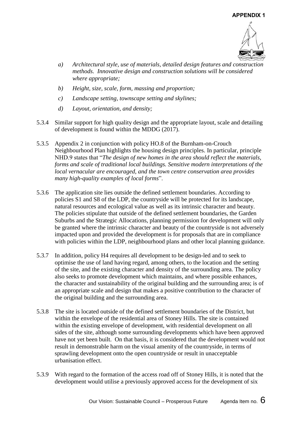

- *a) Architectural style, use of materials, detailed design features and construction methods. Innovative design and construction solutions will be considered where appropriate;*
- *b) Height, size, scale, form, massing and proportion;*
- *c) Landscape setting, townscape setting and skylines;*
- *d) Layout, orientation, and density;*
- 5.3.4 Similar support for high quality design and the appropriate layout, scale and detailing of development is found within the MDDG (2017).
- 5.3.5 Appendix 2 in conjunction with policy HO.8 of the Burnham-on-Crouch Neighbourhood Plan highlights the housing design principles. In particular, principle NHD.9 states that "*The design of new homes in the area should reflect the materials, forms and scale of traditional local buildings. Sensitive modern interpretations of the local vernacular are encouraged, and the town centre conservation area provides many high-quality examples of local forms*".
- 5.3.6 The application site lies outside the defined settlement boundaries. According to policies S1 and S8 of the LDP, the countryside will be protected for its landscape, natural resources and ecological value as well as its intrinsic character and beauty. The policies stipulate that outside of the defined settlement boundaries, the Garden Suburbs and the Strategic Allocations, planning permission for development will only be granted where the intrinsic character and beauty of the countryside is not adversely impacted upon and provided the development is for proposals that are in compliance with policies within the LDP, neighbourhood plans and other local planning guidance.
- 5.3.7 In addition, policy H4 requires all development to be design-led and to seek to optimise the use of land having regard, among others, to the location and the setting of the site, and the existing character and density of the surrounding area. The policy also seeks to promote development which maintains, and where possible enhances, the character and sustainability of the original building and the surrounding area; is of an appropriate scale and design that makes a positive contribution to the character of the original building and the surrounding area.
- 5.3.8 The site is located outside of the defined settlement boundaries of the District, but within the envelope of the residential area of Stoney Hills. The site is contained within the existing envelope of development, with residential development on all sides of the site, although some surrounding developments which have been approved have not yet been built. On that basis, it is considered that the development would not result in demonstrable harm on the visual amenity of the countryside, in terms of sprawling development onto the open countryside or result in unacceptable urbanisation effect.
- 5.3.9 With regard to the formation of the access road off of Stoney Hills, it is noted that the development would utilise a previously approved access for the development of six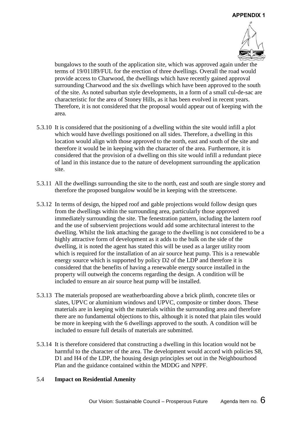

bungalows to the south of the application site, which was approved again under the terms of 19/01189/FUL for the erection of three dwellings. Overall the road would provide access to Charwood, the dwellings which have recently gained approval surrounding Charwood and the six dwellings which have been approved to the south of the site. As noted suburban style developments, in a form of a small cul-de-sac are characteristic for the area of Stoney Hills, as it has been evolved in recent years. Therefore, it is not considered that the proposal would appear out of keeping with the area.

- 5.3.10 It is considered that the positioning of a dwelling within the site would infill a plot which would have dwellings positioned on all sides. Therefore, a dwelling in this location would align with those approved to the north, east and south of the site and therefore it would be in keeping with the character of the area. Furthermore, it is considered that the provision of a dwelling on this site would infill a redundant piece of land in this instance due to the nature of development surrounding the application site.
- 5.3.11 All the dwellings surrounding the site to the north, east and south are single storey and therefore the proposed bungalow would be in keeping with the streetscene.
- 5.3.12 In terms of design, the hipped roof and gable projections would follow design ques from the dwellings within the surrounding area, particularly those approved immediately surrounding the site. The fenestration pattern, including the lantern roof and the use of subservient projections would add some architectural interest to the dwelling. Whilst the link attaching the garage to the dwelling is not considered to be a highly attractive form of development as it adds to the bulk on the side of the dwelling, it is noted the agent has stated this will be used as a larger utility room which is required for the installation of an air source heat pump. This is a renewable energy source which is supported by policy D2 of the LDP and therefore it is considered that the benefits of having a renewable energy source installed in the property will outweigh the concerns regarding the design. A condition will be included to ensure an air source heat pump will be installed.
- 5.3.13 The materials proposed are weatherboarding above a brick plinth, concrete tiles or slates, UPVC or aluminium windows and UPVC, composite or timber doors. These materials are in keeping with the materials within the surrounding area and therefore there are no fundamental objections to this, although it is noted that plain tiles would be more in keeping with the 6 dwellings approved to the south. A condition will be included to ensure full details of materials are submitted.
- 5.3.14 It is therefore considered that constructing a dwelling in this location would not be harmful to the character of the area. The development would accord with policies S8, D1 and H4 of the LDP, the housing design principles set out in the Neighbourhood Plan and the guidance contained within the MDDG and NPPF.

#### 5.4 **Impact on Residential Amenity**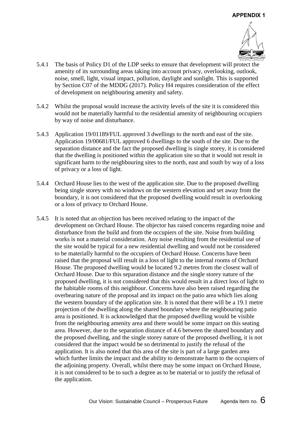

- 5.4.1 The basis of Policy D1 of the LDP seeks to ensure that development will protect the amenity of its surrounding areas taking into account privacy, overlooking, outlook, noise, smell, light, visual impact, pollution, daylight and sunlight. This is supported by Section C07 of the MDDG (2017). Policy H4 requires consideration of the effect of development on neighbouring amenity and safety.
- 5.4.2 Whilst the proposal would increase the activity levels of the site it is considered this would not be materially harmful to the residential amenity of neighbouring occupiers by way of noise and disturbance.
- 5.4.3 Application 19/01189/FUL approved 3 dwellings to the north and east of the site. Application 19/00681/FUL approved 6 dwellings to the south of the site. Due to the separation distance and the fact the proposed dwelling is single storey, it is considered that the dwelling is positioned within the application site so that it would not result in significant harm to the neighbouring sites to the north, east and south by way of a loss of privacy or a loss of light.
- 5.4.4 Orchard House lies to the west of the application site. Due to the proposed dwelling being single storey with no windows on the western elevation and set away from the boundary, it is not considered that the proposed dwelling would result in overlooking or a loss of privacy to Orchard House.
- 5.4.5 It is noted that an objection has been received relating to the impact of the development on Orchard House. The objector has raised concerns regarding noise and disturbance from the build and from the occupiers of the site. Noise from building works is not a material consideration. Any noise resulting from the residential use of the site would be typical for a new residential dwelling and would not be considered to be materially harmful to the occupiers of Orchard House. Concerns have been raised that the proposal will result in a loss of light to the internal rooms of Orchard House. The proposed dwelling would be located 9.2 metres from the closest wall of Orchard House. Due to this separation distance and the single storey nature of the proposed dwelling, it is not considered that this would result in a direct loss of light to the habitable rooms of this neighbour. Concerns have also been raised regarding the overbearing nature of the proposal and its impact on the patio area which lies along the western boundary of the application site. It is noted that there will be a 19.1 metre projection of the dwelling along the shared boundary where the neighbouring patio area is positioned. It is acknowledged that the proposed dwelling would be visible from the neighbouring amenity area and there would be some impact on this seating area. However, due to the separation distance of 4.6 between the shared boundary and the proposed dwelling, and the single storey nature of the proposed dwelling, it is not considered that the impact would be so detrimental to justify the refusal of the application. It is also noted that this area of the site is part of a large garden area which further limits the impact and the ability to demonstrate harm to the occupiers of the adjoining property. Overall, whilst there may be some impact on Orchard House, it is not considered to be to such a degree as to be material or to justify the refusal of the application.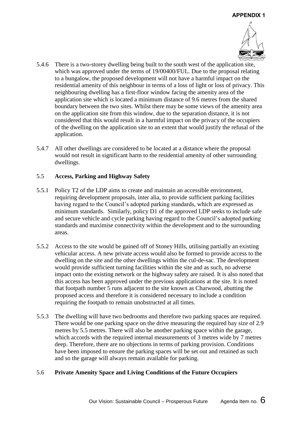

- 5.4.6 There is a two-storey dwelling being built to the south west of the application site, which was approved under the terms of 19/00400/FUL. Due to the proposal relating to a bungalow, the proposed development will not have a harmful impact on the residential amenity of this neighbour in terms of a loss of light or loss of privacy. This neighbouring dwelling has a first-floor window facing the amenity area of the application site which is located a minimum distance of 9.6 metres from the shared boundary between the two sites. Whilst there may be some views of the amenity area on the application site from this window, due to the separation distance, it is not considered that this would result in a harmful impact on the privacy of the occupiers of the dwelling on the application site to an extent that would justify the refusal of the application.
- 5.4.7 All other dwellings are considered to be located at a distance where the proposal would not result in significant harm to the residential amenity of other surrounding dwellings.

## 5.5 **Access, Parking and Highway Safety**

- 5.5.1 Policy T2 of the LDP aims to create and maintain an accessible environment, requiring development proposals, inter alia, to provide sufficient parking facilities having regard to the Council's adopted parking standards, which are expressed as minimum standards. Similarly, policy D1 of the approved LDP seeks to include safe and secure vehicle and cycle parking having regard to the Council's adopted parking standards and maximise connectivity within the development and to the surrounding areas.
- 5.5.2 Access to the site would be gained off of Stoney Hills, utilising partially an existing vehicular access. A new private access would also be formed to provide access to the dwelling on the site and the other dwellings within the cul-de-sac. The development would provide sufficient turning facilities within the site and as such, no adverse impact onto the existing network or the highway safety are raised. It is also noted that this access has been approved under the previous applications at the site. It is noted that footpath number 5 runs adjacent to the site known as Charwood, abutting the proposed access and therefore it is considered necessary to include a condition requiring the footpath to remain unobstructed at all times.
- 5.5.3 The dwelling will have two bedrooms and therefore two parking spaces are required. There would be one parking space on the drive measuring the required bay size of 2.9 metres by 5.5 metres. There will also be another parking space within the garage, which accords with the required internal measurements of 3 metres wide by 7 metres deep. Therefore, there are no objections in terms of parking provision. Conditions have been imposed to ensure the parking spaces will be set out and retained as such and so the garage will always remain available for parking.

## 5.6 **Private Amenity Space and Living Conditions of the Future Occupiers**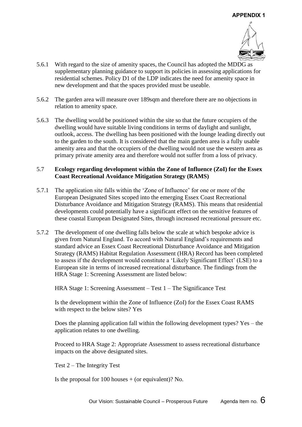

- 5.6.1 With regard to the size of amenity spaces, the Council has adopted the MDDG as supplementary planning guidance to support its policies in assessing applications for residential schemes. Policy D1 of the LDP indicates the need for amenity space in new development and that the spaces provided must be useable.
- 5.6.2 The garden area will measure over 189sqm and therefore there are no objections in relation to amenity space.
- 5.6.3 The dwelling would be positioned within the site so that the future occupiers of the dwelling would have suitable living conditions in terms of daylight and sunlight, outlook, access. The dwelling has been positioned with the lounge leading directly out to the garden to the south. It is considered that the main garden area is a fully usable amenity area and that the occupiers of the dwelling would not use the western area as primary private amenity area and therefore would not suffer from a loss of privacy.

#### 5.7 **Ecology regarding development within the Zone of Influence (ZoI) for the Essex Coast Recreational Avoidance Mitigation Strategy (RAMS)**

- 5.7.1 The application site falls within the 'Zone of Influence' for one or more of the European Designated Sites scoped into the emerging Essex Coast Recreational Disturbance Avoidance and Mitigation Strategy (RAMS). This means that residential developments could potentially have a significant effect on the sensitive features of these coastal European Designated Sites, through increased recreational pressure etc.
- 5.7.2 The development of one dwelling falls below the scale at which bespoke advice is given from Natural England. To accord with Natural England's requirements and standard advice an Essex Coast Recreational Disturbance Avoidance and Mitigation Strategy (RAMS) Habitat Regulation Assessment (HRA) Record has been completed to assess if the development would constitute a 'Likely Significant Effect' (LSE) to a European site in terms of increased recreational disturbance. The findings from the HRA Stage 1: Screening Assessment are listed below:

HRA Stage 1: Screening Assessment – Test 1 – The Significance Test

Is the development within the Zone of Influence (ZoI) for the Essex Coast RAMS with respect to the below sites? Yes

Does the planning application fall within the following development types? Yes – the application relates to one dwelling.

Proceed to HRA Stage 2: Appropriate Assessment to assess recreational disturbance impacts on the above designated sites.

Test 2 – The Integrity Test

Is the proposal for 100 houses  $+$  (or equivalent)? No.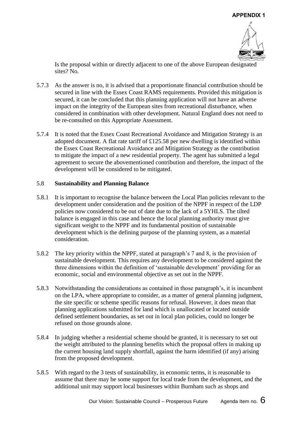

Is the proposal within or directly adjacent to one of the above European designated sites? No.

- 5.7.3 As the answer is no, it is advised that a proportionate financial contribution should be secured in line with the Essex Coast RAMS requirements. Provided this mitigation is secured, it can be concluded that this planning application will not have an adverse impact on the integrity of the European sites from recreational disturbance, when considered in combination with other development. Natural England does not need to be re-consulted on this Appropriate Assessment.
- 5.7.4 It is noted that the Essex Coast Recreational Avoidance and Mitigation Strategy is an adopted document. A flat rate tariff of £125.58 per new dwelling is identified within the Essex Coast Recreational Avoidance and Mitigation Strategy as the contribution to mitigate the impact of a new residential property. The agent has submitted a legal agreement to secure the abovementioned contribution and therefore, the impact of the development will be considered to be mitigated.

#### 5.8 **Sustainability and Planning Balance**

- 5.8.1 It is important to recognise the balance between the Local Plan policies relevant to the development under consideration and the position of the NPPF in respect of the LDP policies now considered to be out of date due to the lack of a 5YHLS. The tilted balance is engaged in this case and hence the local planning authority must give significant weight to the NPPF and its fundamental position of sustainable development which is the defining purpose of the planning system, as a material consideration.
- 5.8.2 The key priority within the NPPF, stated at paragraph's 7 and 8, is the provision of sustainable development. This requires any development to be considered against the three dimensions within the definition of 'sustainable development' providing for an economic, social and environmental objective as set out in the NPPF.
- 5.8.3 Notwithstanding the considerations as contained in those paragraph's, it is incumbent on the LPA, where appropriate to consider, as a matter of general planning judgment, the site specific or scheme specific reasons for refusal. However, it does mean that planning applications submitted for land which is unallocated or located outside defined settlement boundaries, as set out in local plan policies, could no longer be refused on those grounds alone.
- 5.8.4 In judging whether a residential scheme should be granted, it is necessary to set out the weight attributed to the planning benefits which the proposal offers in making up the current housing land supply shortfall, against the harm identified (if any) arising from the proposed development.
- 5.8.5 With regard to the 3 tests of sustainability, in economic terms, it is reasonable to assume that there may be some support for local trade from the development, and the additional unit may support local businesses within Burnham such as shops and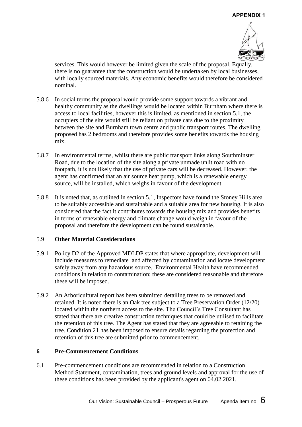

services. This would however be limited given the scale of the proposal. Equally, there is no guarantee that the construction would be undertaken by local businesses, with locally sourced materials. Any economic benefits would therefore be considered nominal.

- 5.8.6 In social terms the proposal would provide some support towards a vibrant and healthy community as the dwellings would be located within Burnham where there is access to local facilities, however this is limited, as mentioned in section 5.1, the occupiers of the site would still be reliant on private cars due to the proximity between the site and Burnham town centre and public transport routes. The dwelling proposed has 2 bedrooms and therefore provides some benefits towards the housing mix.
- 5.8.7 In environmental terms, whilst there are public transport links along Southminster Road, due to the location of the site along a private unmade unlit road with no footpath, it is not likely that the use of private cars will be decreased. However, the agent has confirmed that an air source heat pump, which is a renewable energy source, will be installed, which weighs in favour of the development.
- 5.8.8 It is noted that, as outlined in section 5.1, Inspectors have found the Stoney Hills area to be suitably accessible and sustainable and a suitable area for new housing. It is also considered that the fact it contributes towards the housing mix and provides benefits in terms of renewable energy and climate change would weigh in favour of the proposal and therefore the development can be found sustainable.

#### 5.9 **Other Material Considerations**

- 5.9.1 Policy D2 of the Approved MDLDP states that where appropriate, development will include measures to remediate land affected by contamination and locate development safely away from any hazardous source. Environmental Health have recommended conditions in relation to contamination; these are considered reasonable and therefore these will be imposed.
- 5.9.2 An Arboricultural report has been submitted detailing trees to be removed and retained. It is noted there is an Oak tree subject to a Tree Preservation Order (12/20) located within the northern access to the site. The Council's Tree Consultant has stated that there are creative construction techniques that could be utilised to facilitate the retention of this tree. The Agent has stated that they are agreeable to retaining the tree. Condition 21 has been imposed to ensure details regarding the protection and retention of this tree are submitted prior to commencement.

#### **6 Pre-Commencement Conditions**

6.1 Pre-commencement conditions are recommended in relation to a Construction Method Statement, contamination, trees and ground levels and approval for the use of these conditions has been provided by the applicant's agent on 04.02.2021.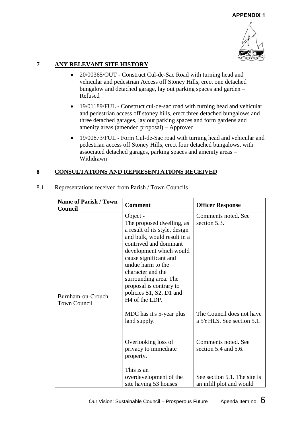

# **7 ANY RELEVANT SITE HISTORY**

- 20/00365/OUT Construct Cul-de-Sac Road with turning head and vehicular and pedestrian Access off Stoney Hills, erect one detached bungalow and detached garage, lay out parking spaces and garden – Refused
- 19/01189/FUL Construct cul-de-sac road with turning head and vehicular and pedestrian access off stoney hills, erect three detached bungalows and three detached garages, lay out parking spaces and form gardens and amenity areas (amended proposal) – Approved
- 19/00873/FUL Form Cul-de-Sac road with turning head and vehicular and pedestrian access off Stoney Hills, erect four detached bungalows, with associated detached garages, parking spaces and amenity areas – Withdrawn

# **8 CONSULTATIONS AND REPRESENTATIONS RECEIVED**

| <b>Name of Parish / Town</b>             | <b>Comment</b>                                                                                                                                                                                                                                                                                                                             | <b>Officer Response</b>                                  |
|------------------------------------------|--------------------------------------------------------------------------------------------------------------------------------------------------------------------------------------------------------------------------------------------------------------------------------------------------------------------------------------------|----------------------------------------------------------|
| Council                                  |                                                                                                                                                                                                                                                                                                                                            |                                                          |
| Burnham-on-Crouch<br><b>Town Council</b> | Object -<br>The proposed dwelling, as<br>a result of its style, design<br>and bulk, would result in a<br>contrived and dominant<br>development which would<br>cause significant and<br>undue harm to the<br>character and the<br>surrounding area. The<br>proposal is contrary to<br>policies S1, S2, D1 and<br>H <sub>4</sub> of the LDP. | Comments noted. See<br>section 5.3.                      |
|                                          | MDC has it's 5-year plus<br>land supply.                                                                                                                                                                                                                                                                                                   | The Council does not have<br>a 5YHLS. See section 5.1.   |
|                                          | Overlooking loss of<br>privacy to immediate<br>property.                                                                                                                                                                                                                                                                                   | Comments noted. See<br>section 5.4 and 5.6.              |
|                                          | This is an<br>overdevelopment of the<br>site having 53 houses                                                                                                                                                                                                                                                                              | See section 5.1. The site is<br>an infill plot and would |

8.1 Representations received from Parish / Town Councils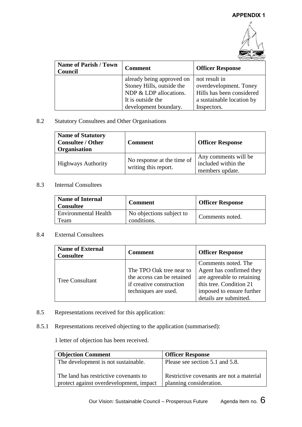

| <b>Name of Parish / Town</b><br>Council | <b>Comment</b>                                                                   | <b>Officer Response</b>                                              |
|-----------------------------------------|----------------------------------------------------------------------------------|----------------------------------------------------------------------|
|                                         | already being approved on<br>Stoney Hills, outside the<br>NDP & LDP allocations. | not result in<br>overdevelopment. Toney<br>Hills has been considered |
|                                         | It is outside the<br>development boundary.                                       | a sustainable location by<br>Inspectors.                             |

#### 8.2 Statutory Consultees and Other Organisations

| <b>Name of Statutory</b><br><b>Consultee / Other</b><br>Organisation | <b>Comment</b>                                     | <b>Officer Response</b>                                        |
|----------------------------------------------------------------------|----------------------------------------------------|----------------------------------------------------------------|
| <b>Highways Authority</b>                                            | No response at the time of<br>writing this report. | Any comments will be<br>included within the<br>members update. |

# 8.3 Internal Consultees

| <b>Name of Internal</b><br><b>Consultee</b> | <b>Comment</b>                          | <b>Officer Response</b> |
|---------------------------------------------|-----------------------------------------|-------------------------|
| <b>Environmental Health</b><br>l`eam        | No objections subject to<br>conditions. | Comments noted.         |

# 8.4 External Consultees

| <b>Name of External</b><br><b>Consultee</b> | <b>Comment</b>                                                                                             | <b>Officer Response</b>                                                                                                                                         |
|---------------------------------------------|------------------------------------------------------------------------------------------------------------|-----------------------------------------------------------------------------------------------------------------------------------------------------------------|
| <b>Tree Consultant</b>                      | The TPO Oak tree near to<br>the access can be retained<br>if creative construction<br>techniques are used. | Comments noted. The<br>Agent has confirmed they<br>are agreeable to retaining<br>this tree. Condition 21<br>imposed to ensure further<br>details are submitted. |

- 8.5 Representations received for this application:
- 8.5.1 Representations received objecting to the application (summarised):

1 letter of objection has been received.

| <b>Objection Comment</b>                                                         | <b>Officer Response</b>                                             |
|----------------------------------------------------------------------------------|---------------------------------------------------------------------|
| The development is not sustainable.                                              | Please see section 5.1 and 5.8.                                     |
| The land has restrictive covenants to<br>protect against overdevelopment, impact | Restrictive covenants are not a material<br>planning consideration. |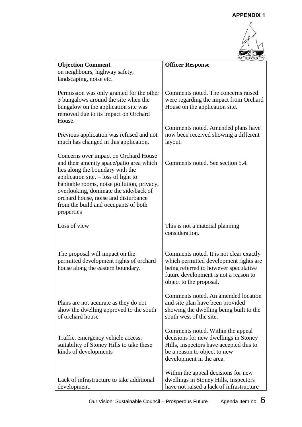

| <b>Objection Comment</b>                                                                                                                                                                                                                                                                                                                              | <b>Officer Response</b>                                                                                                                                                                        |
|-------------------------------------------------------------------------------------------------------------------------------------------------------------------------------------------------------------------------------------------------------------------------------------------------------------------------------------------------------|------------------------------------------------------------------------------------------------------------------------------------------------------------------------------------------------|
| on neighbours, highway safety,<br>landscaping, noise etc.                                                                                                                                                                                                                                                                                             |                                                                                                                                                                                                |
| Permission was only granted for the other<br>3 bungalows around the site when the<br>bungalow on the application site was<br>removed due to its impact on Orchard<br>House.                                                                                                                                                                           | Comments noted. The concerns raised<br>were regarding the impact from Orchard<br>House on the application site.                                                                                |
| Previous application was refused and not<br>much has changed in this application.                                                                                                                                                                                                                                                                     | Comments noted. Amended plans have<br>now been received showing a different<br>layout.                                                                                                         |
| Concerns over impact on Orchard House<br>and their amenity space/patio area which<br>lies along the boundary with the<br>application site. $-$ loss of light to<br>habitable rooms, noise pollution, privacy,<br>overlooking, dominate the side/back of<br>orchard house, noise and disturbance<br>from the build and occupants of both<br>properties | Comments noted. See section 5.4.                                                                                                                                                               |
| Loss of view                                                                                                                                                                                                                                                                                                                                          | This is not a material planning<br>consideration.                                                                                                                                              |
| The proposal will impact on the<br>permitted development rights of orchard<br>house along the eastern boundary.                                                                                                                                                                                                                                       | Comments noted. It is not clear exactly<br>which permitted development rights are<br>being referred to however speculative<br>future development is not a reason to<br>object to the proposal. |
| Plans are not accurate as they do not<br>show the dwelling approved to the south<br>of orchard house                                                                                                                                                                                                                                                  | Comments noted. An amended location<br>and site plan have been provided<br>showing the dwelling being built to the<br>south west of the site.                                                  |
| Traffic, emergency vehicle access,<br>suitability of Stoney Hills to take these<br>kinds of developments                                                                                                                                                                                                                                              | Comments noted. Within the appeal<br>decisions for new dwellings in Stoney<br>Hills, Inspectors have accepted this to<br>be a reason to object to new<br>development in the area.              |
| Lack of infrastructure to take additional<br>development.                                                                                                                                                                                                                                                                                             | Within the appeal decisions for new<br>dwellings in Stoney Hills, Inspectors<br>have not raised a lack of infrastructure                                                                       |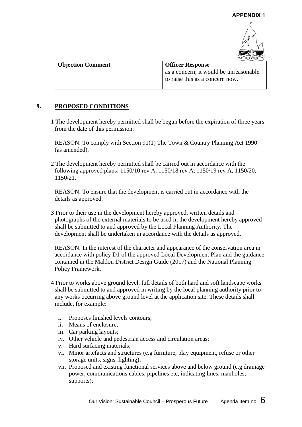

| <b>Objection Comment</b> | <b>Officer Response</b>                                                   |
|--------------------------|---------------------------------------------------------------------------|
|                          | as a concern; it would be unreasonable<br>to raise this as a concern now. |

## **9. PROPOSED CONDITIONS**

1 The development hereby permitted shall be begun before the expiration of three years from the date of this permission.

REASON: To comply with Section 91(1) The Town & Country Planning Act 1990 (as amended).

2 The development hereby permitted shall be carried out in accordance with the following approved plans: 1150/10 rev A, 1150/18 rev A, 1150/19 rev A, 1150/20, 1150/21.

REASON: To ensure that the development is carried out in accordance with the details as approved.

3 Prior to their use in the development hereby approved, written details and photographs of the external materials to be used in the development hereby approved shall be submitted to and approved by the Local Planning Authority. The development shall be undertaken in accordance with the details as approved.

REASON: In the interest of the character and appearance of the conservation area in accordance with policy D1 of the approved Local Development Plan and the guidance contained in the Maldon District Design Guide (2017) and the National Planning Policy Framework.

- 4 Prior to works above ground level, full details of both hard and soft landscape works shall be submitted to and approved in writing by the local planning authority prior to any works occurring above ground level at the application site. These details shall include, for example:
	- i. Proposes finished levels contours;
	- ii. Means of enclosure;
	- iii. Car parking layouts;
	- iv. Other vehicle and pedestrian access and circulation areas;
	- v. Hard surfacing materials;
	- vi. Minor artefacts and structures (e.g furniture, play equipment, refuse or other storage units, signs, lighting);
	- vii. Proposed and existing functional services above and below ground (e.g drainage power, communications cables, pipelines etc, indicating lines, manholes, supports);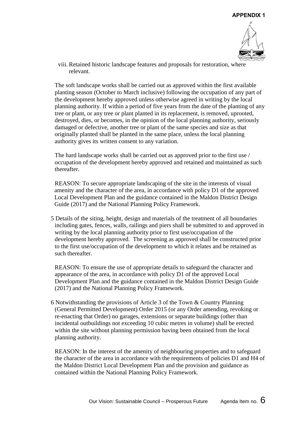

viii. Retained historic landscape features and proposals for restoration, where relevant.

The soft landscape works shall be carried out as approved within the first available planting season (October to March inclusive) following the occupation of any part of the development hereby approved unless otherwise agreed in writing by the local planning authority. If within a period of five years from the date of the planting of any tree or plant, or any tree or plant planted in its replacement, is removed, uprooted, destroyed, dies, or becomes, in the opinion of the local planning authority, seriously damaged or defective, another tree or plant of the same species and size as that originally planted shall be planted in the same place, unless the local planning authority gives its written consent to any variation.

The hard landscape works shall be carried out as approved prior to the first use / occupation of the development hereby approved and retained and maintained as such thereafter.

REASON: To secure appropriate landscaping of the site in the interests of visual amenity and the character of the area, in accordance with policy D1 of the approved Local Development Plan and the guidance contained in the Maldon District Design Guide (2017) and the National Planning Policy Framework.

5 Details of the siting, height, design and materials of the treatment of all boundaries including gates, fences, walls, railings and piers shall be submitted to and approved in writing by the local planning authority prior to first use/occupation of the development hereby approved. The screening as approved shall be constructed prior to the first use/occupation of the development to which it relates and be retained as such thereafter.

REASON: To ensure the use of appropriate details to safeguard the character and appearance of the area, in accordance with policy D1 of the approved Local Development Plan and the guidance contained in the Maldon District Design Guide (2017) and the National Planning Policy Framework.

6 Notwithstanding the provisions of Article 3 of the Town & Country Planning (General Permitted Development) Order 2015 (or any Order amending, revoking or re-enacting that Order) no garages, extensions or separate buildings (other than incidental outbuildings not exceeding 10 cubic metres in volume) shall be erected within the site without planning permission having been obtained from the local planning authority.

REASON: In the interest of the amenity of neighbouring properties and to safeguard the character of the area in accordance with the requirements of policies D1 and H4 of the Maldon District Local Development Plan and the provision and guidance as contained within the National Planning Policy Framework.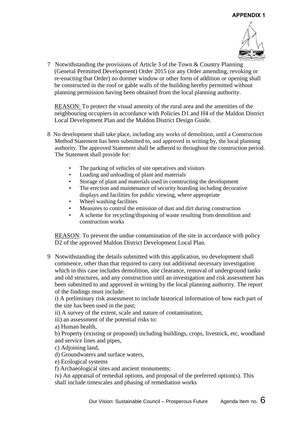

7 Notwithstanding the provisions of Article 3 of the Town & Country Planning (General Permitted Development) Order 2015 (or any Order amending, revoking or re-enacting that Order) no dormer window or other form of addition or opening shall be constructed in the roof or gable walls of the building hereby permitted without planning permission having been obtained from the local planning authority.

REASON: To protect the visual amenity of the rural area and the amenities of the neighbouring occupiers in accordance with Policies D1 and H4 of the Maldon District Local Development Plan and the Maldon District Design Guide.

- 8 No development shall take place, including any works of demolition, until a Construction Method Statement has been submitted to, and approved in writing by, the local planning authority. The approved Statement shall be adhered to throughout the construction period. The Statement shall provide for:
	- The parking of vehicles of site operatives and visitors
	- Loading and unloading of plant and materials
	- Storage of plant and materials used in constructing the development
	- The erection and maintenance of security hoarding including decorative displays and facilities for public viewing, where appropriate
	- Wheel washing facilities
	- Measures to control the emission of dust and dirt during construction
	- A scheme for recycling/disposing of waste resulting from demolition and construction works

REASON: To prevent the undue contamination of the site in accordance with policy D2 of the approved Maldon District Development Local Plan.

9 Notwithstanding the details submitted with this application, no development shall commence, other than that required to carry out additional necessary investigation which in this case includes demolition, site clearance, removal of underground tanks and old structures, and any construction until an investigation and risk assessment has been submitted to and approved in writing by the local planning authority. The report of the findings must include:

i) A preliminary risk assessment to include historical information of how each part of the site has been used in the past;

ii) A survey of the extent, scale and nature of contamination;

iii) an assessment of the potential risks to:

a) Human health,

b) Property (existing or proposed) including buildings, crops, livestock, etc, woodland and service lines and pipes,

c) Adjoining land.

d) Groundwaters and surface waters,

e) Ecological systems

f) Archaeological sites and ancient monuments;

iv) An appraisal of remedial options, and proposal of the preferred option(s). This shall include timescales and phasing of remediation works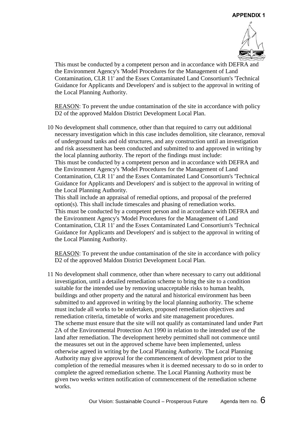

This must be conducted by a competent person and in accordance with DEFRA and the Environment Agency's 'Model Procedures for the Management of Land Contamination, CLR 11' and the Essex Contaminated Land Consortium's 'Technical Guidance for Applicants and Developers' and is subject to the approval in writing of the Local Planning Authority.

REASON: To prevent the undue contamination of the site in accordance with policy D2 of the approved Maldon District Development Local Plan.

10 No development shall commence, other than that required to carry out additional necessary investigation which in this case includes demolition, site clearance, removal of underground tanks and old structures, and any construction until an investigation and risk assessment has been conducted and submitted to and approved in writing by the local planning authority. The report of the findings must include: This must be conducted by a competent person and in accordance with DEFRA and the Environment Agency's 'Model Procedures for the Management of Land Contamination, CLR 11' and the Essex Contaminated Land Consortium's 'Technical Guidance for Applicants and Developers' and is subject to the approval in writing of the Local Planning Authority.

This shall include an appraisal of remedial options, and proposal of the preferred option(s). This shall include timescales and phasing of remediation works. This must be conducted by a competent person and in accordance with DEFRA and the Environment Agency's 'Model Procedures for the Management of Land Contamination, CLR 11' and the Essex Contaminated Land Consortium's 'Technical Guidance for Applicants and Developers' and is subject to the approval in writing of the Local Planning Authority.

REASON: To prevent the undue contamination of the site in accordance with policy D2 of the approved Maldon District Development Local Plan.

11 No development shall commence, other than where necessary to carry out additional investigation, until a detailed remediation scheme to bring the site to a condition suitable for the intended use by removing unacceptable risks to human health, buildings and other property and the natural and historical environment has been submitted to and approved in writing by the local planning authority. The scheme must include all works to be undertaken, proposed remediation objectives and remediation criteria, timetable of works and site management procedures. The scheme must ensure that the site will not qualify as contaminated land under Part 2A of the Environmental Protection Act 1990 in relation to the intended use of the land after remediation. The development hereby permitted shall not commence until the measures set out in the approved scheme have been implemented, unless otherwise agreed in writing by the Local Planning Authority. The Local Planning Authority may give approval for the commencement of development prior to the completion of the remedial measures when it is deemed necessary to do so in order to complete the agreed remediation scheme. The Local Planning Authority must be given two weeks written notification of commencement of the remediation scheme works.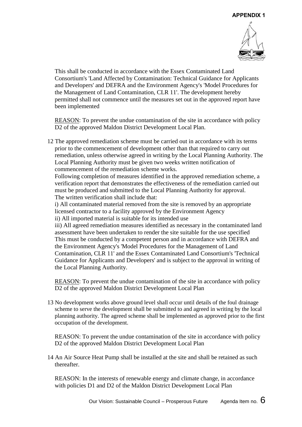

This shall be conducted in accordance with the Essex Contaminated Land Consortium's 'Land Affected by Contamination: Technical Guidance for Applicants and Developers' and DEFRA and the Environment Agency's 'Model Procedures for the Management of Land Contamination, CLR 11'. The development hereby permitted shall not commence until the measures set out in the approved report have been implemented

REASON: To prevent the undue contamination of the site in accordance with policy D2 of the approved Maldon District Development Local Plan.

12 The approved remediation scheme must be carried out in accordance with its terms prior to the commencement of development other than that required to carry out remediation, unless otherwise agreed in writing by the Local Planning Authority. The Local Planning Authority must be given two weeks written notification of commencement of the remediation scheme works.

Following completion of measures identified in the approved remediation scheme, a verification report that demonstrates the effectiveness of the remediation carried out must be produced and submitted to the Local Planning Authority for approval. The written verification shall include that:

i) All contaminated material removed from the site is removed by an appropriate licensed contractor to a facility approved by the Environment Agency ii) All imported material is suitable for its intended use

iii) All agreed remediation measures identified as necessary in the contaminated land assessment have been undertaken to render the site suitable for the use specified This must be conducted by a competent person and in accordance with DEFRA and the Environment Agency's 'Model Procedures for the Management of Land Contamination, CLR 11' and the Essex Contaminated Land Consortium's 'Technical Guidance for Applicants and Developers' and is subject to the approval in writing of the Local Planning Authority.

REASON: To prevent the undue contamination of the site in accordance with policy D2 of the approved Maldon District Development Local Plan

13 No development works above ground level shall occur until details of the foul drainage scheme to serve the development shall be submitted to and agreed in writing by the local planning authority. The agreed scheme shall be implemented as approved prior to the first occupation of the development.

REASON: To prevent the undue contamination of the site in accordance with policy D2 of the approved Maldon District Development Local Plan

14 An Air Source Heat Pump shall be installed at the site and shall be retained as such thereafter.

REASON: In the interests of renewable energy and climate change, in accordance with policies D1 and D2 of the Maldon District Development Local Plan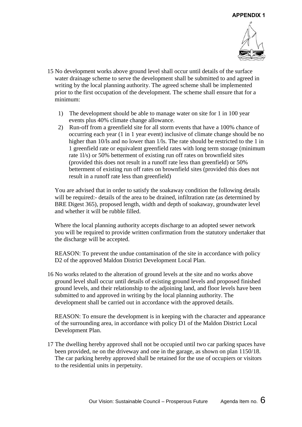

- 15 No development works above ground level shall occur until details of the surface water drainage scheme to serve the development shall be submitted to and agreed in writing by the local planning authority. The agreed scheme shall be implemented prior to the first occupation of the development. The scheme shall ensure that for a minimum:
	- 1) The development should be able to manage water on site for 1 in 100 year events plus 40% climate change allowance.
	- 2) Run-off from a greenfield site for all storm events that have a 100% chance of occurring each year (1 in 1 year event) inclusive of climate change should be no higher than 10/ls and no lower than 1/ls. The rate should be restricted to the 1 in 1 greenfield rate or equivalent greenfield rates with long term storage (minimum rate 1l/s) or 50% betterment of existing run off rates on brownfield sites (provided this does not result in a runoff rate less than greenfield) or 50% betterment of existing run off rates on brownfield sites (provided this does not result in a runoff rate less than greenfield)

You are advised that in order to satisfy the soakaway condition the following details will be required:- details of the area to be drained, infiltration rate (as determined by BRE Digest 365), proposed length, width and depth of soakaway, groundwater level and whether it will be rubble filled.

Where the local planning authority accepts discharge to an adopted sewer network you will be required to provide written confirmation from the statutory undertaker that the discharge will be accepted.

REASON: To prevent the undue contamination of the site in accordance with policy D2 of the approved Maldon District Development Local Plan.

16 No works related to the alteration of ground levels at the site and no works above ground level shall occur until details of existing ground levels and proposed finished ground levels, and their relationship to the adjoining land, and floor levels have been submitted to and approved in writing by the local planning authority. The development shall be carried out in accordance with the approved details.

REASON: To ensure the development is in keeping with the character and appearance of the surrounding area, in accordance with policy D1 of the Maldon District Local Development Plan.

17 The dwelling hereby approved shall not be occupied until two car parking spaces have been provided, ne on the driveway and one in the garage, as shown on plan 1150/18. The car parking hereby approved shall be retained for the use of occupiers or visitors to the residential units in perpetuity.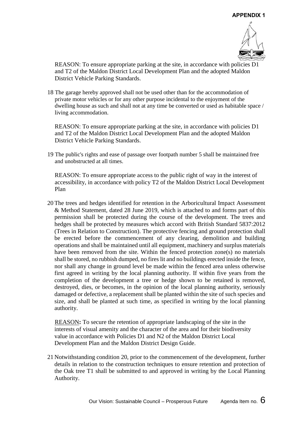

REASON: To ensure appropriate parking at the site, in accordance with policies D1 and T2 of the Maldon District Local Development Plan and the adopted Maldon District Vehicle Parking Standards.

18 The garage hereby approved shall not be used other than for the accommodation of private motor vehicles or for any other purpose incidental to the enjoyment of the dwelling house as such and shall not at any time be converted or used as habitable space / living accommodation.

REASON: To ensure appropriate parking at the site, in accordance with policies D1 and T2 of the Maldon District Local Development Plan and the adopted Maldon District Vehicle Parking Standards.

19 The public's rights and ease of passage over footpath number 5 shall be maintained free and unobstructed at all times.

REASON: To ensure appropriate access to the public right of way in the interest of accessibility, in accordance with policy T2 of the Maldon District Local Development Plan

20 The trees and hedges identified for retention in the Arboricultural Impact Assessment & Method Statement, dated 28 June 2019, which is attached to and forms part of this permission shall be protected during the course of the development. The trees and hedges shall be protected by measures which accord with British Standard 5837:2012 (Trees in Relation to Construction). The protective fencing and ground protection shall be erected before the commencement of any clearing, demolition and building operations and shall be maintained until all equipment, machinery and surplus materials have been removed from the site. Within the fenced protection zone(s) no materials shall be stored, no rubbish dumped, no fires lit and no buildings erected inside the fence, nor shall any change in ground level be made within the fenced area unless otherwise first agreed in writing by the local planning authority. If within five years from the completion of the development a tree or hedge shown to be retained is removed, destroyed, dies, or becomes, in the opinion of the local planning authority, seriously damaged or defective, a replacement shall be planted within the site of such species and size, and shall be planted at such time, as specified in writing by the local planning authority.

REASON**:** To secure the retention of appropriate landscaping of the site in the interests of visual amenity and the character of the area and for their biodiversity value in accordance with Policies D1 and N2 of the Maldon District Local Development Plan and the Maldon District Design Guide.

21 Notwithstanding condition 20, prior to the commencement of the development, further details in relation to the construction techniques to ensure retention and protection of the Oak tree T1 shall be submitted to and approved in writing by the Local Planning Authority.